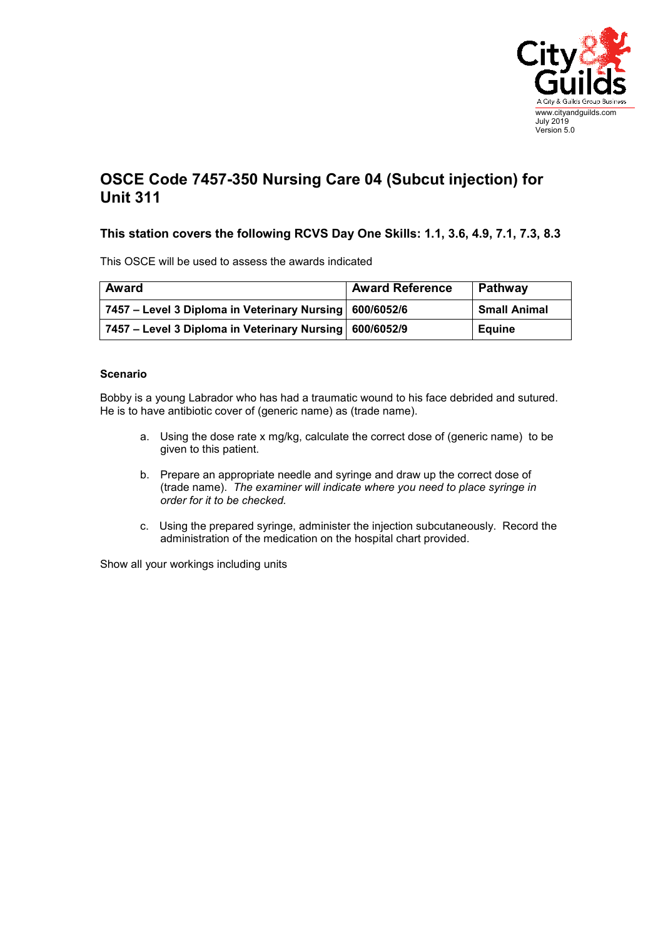

## **OSCE Code 7457-350 Nursing Care 04 (Subcut injection) for Unit 311**

## **This station covers the following RCVS Day One Skills: 1.1, 3.6, 4.9, 7.1, 7.3, 8.3**

This OSCE will be used to assess the awards indicated

| <b>Award</b>                                              | <b>Award Reference</b> | Pathway             |
|-----------------------------------------------------------|------------------------|---------------------|
| 7457 – Level 3 Diploma in Veterinary Nursing   600/6052/6 |                        | <b>Small Animal</b> |
| 7457 – Level 3 Diploma in Veterinary Nursing   600/6052/9 |                        | Equine              |

## **Scenario**

Bobby is a young Labrador who has had a traumatic wound to his face debrided and sutured. He is to have antibiotic cover of (generic name) as (trade name).

- a. Using the dose rate x mg/kg, calculate the correct dose of (generic name) to be given to this patient.
- b. Prepare an appropriate needle and syringe and draw up the correct dose of (trade name). *The examiner will indicate where you need to place syringe in order for it to be checked.*
- c. Using the prepared syringe, administer the injection subcutaneously. Record the administration of the medication on the hospital chart provided.

Show all your workings including units